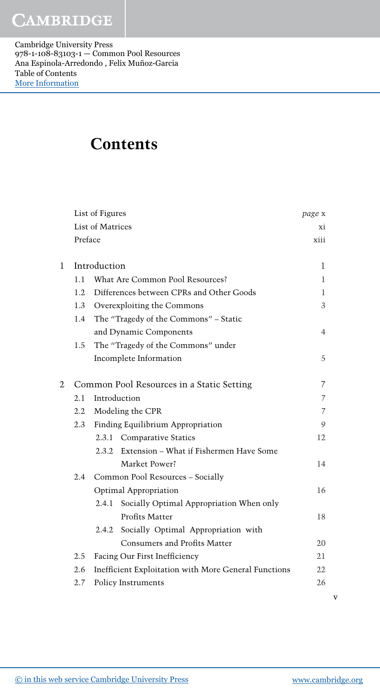Cambridge University Press 978-1-108-83103-1 — Common Pool Resources Ana Espinola-Arredondo , Felix Muñoz-Garcia Table of Contents [More Information](www.cambridge.org/9781108831031)

### **Contents**

| List of Figures |         |                  |                                                      | page x         |   |
|-----------------|---------|------------------|------------------------------------------------------|----------------|---|
|                 |         | List of Matrices |                                                      | X1             |   |
|                 | Preface |                  |                                                      | xiii           |   |
|                 |         |                  |                                                      |                |   |
| 1               |         | Introduction     |                                                      | 1              |   |
|                 | 1.1     |                  | What Are Common Pool Resources?                      | 1              |   |
|                 | 1.2     |                  | Differences between CPRs and Other Goods             | 1              |   |
|                 | 1.3     |                  | Overexploiting the Commons                           | 3              |   |
|                 | 1.4     |                  | The "Tragedy of the Commons" - Static                |                |   |
|                 |         |                  | and Dynamic Components                               | 4              |   |
|                 | 1.5     |                  | The "Tragedy of the Commons" under                   |                |   |
|                 |         |                  | Incomplete Information                               | 5              |   |
| 2               |         |                  | Common Pool Resources in a Static Setting            | 7              |   |
|                 | 2.1     | Introduction     |                                                      | $\overline{7}$ |   |
|                 | 2.2     |                  | Modeling the CPR                                     | $\overline{7}$ |   |
|                 | 2.3     |                  | Finding Equilibrium Appropriation                    | 9              |   |
|                 |         |                  | 2.3.1 Comparative Statics                            | 12             |   |
|                 |         |                  | 2.3.2 Extension – What if Fishermen Have Some        |                |   |
|                 |         |                  | Market Power?                                        | 14             |   |
|                 | 2.4     |                  | Common Pool Resources - Socially                     |                |   |
|                 |         |                  | Optimal Appropriation                                | 16             |   |
|                 |         | 2.4.1            | Socially Optimal Appropriation When only             |                |   |
|                 |         |                  | Profits Matter                                       | 18             |   |
|                 |         | 2.4.2            | Socially Optimal Appropriation with                  |                |   |
|                 |         |                  | Consumers and Profits Matter                         | 20             |   |
|                 | 2.5     |                  | Facing Our First Inefficiency                        | 21             |   |
|                 | 2.6     |                  | Inefficient Exploitation with More General Functions | 22             |   |
|                 | 2.7     |                  | Policy Instruments                                   | 26             |   |
|                 |         |                  |                                                      |                | v |
|                 |         |                  |                                                      |                |   |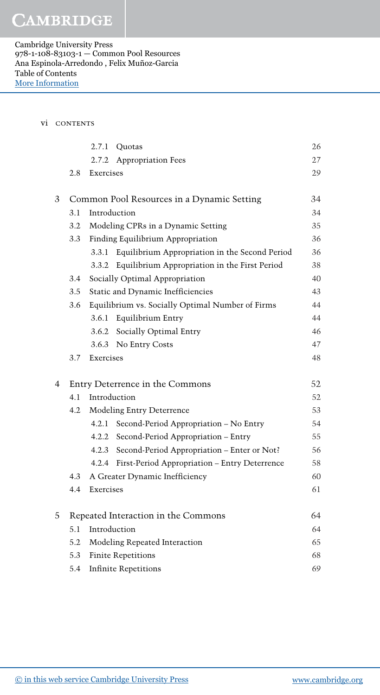Cambridge University Press 978-1-108-83103-1 — Common Pool Resources Ana Espinola-Arredondo , Felix Muñoz-Garcia Table of Contents [More Information](www.cambridge.org/9781108831031)

#### vi CONTENTS

|   |                                            | 2.7.1<br>Quotas                         |                                                     | 26 |
|---|--------------------------------------------|-----------------------------------------|-----------------------------------------------------|----|
|   |                                            | 2.7.2 Appropriation Fees                |                                                     | 27 |
|   | 2.8                                        | Exercises                               |                                                     | 29 |
|   |                                            |                                         |                                                     |    |
| 3 | Common Pool Resources in a Dynamic Setting |                                         |                                                     | 34 |
|   | 3.1                                        | Introduction                            |                                                     | 34 |
|   | 3.2                                        | Modeling CPRs in a Dynamic Setting      |                                                     | 35 |
|   | 3.3                                        | Finding Equilibrium Appropriation       |                                                     | 36 |
|   |                                            | 3.3.1                                   | Equilibrium Appropriation in the Second Period      | 36 |
|   |                                            | 3.3.2                                   | Equilibrium Appropriation in the First Period       | 38 |
|   | 3.4                                        | Socially Optimal Appropriation          |                                                     | 40 |
|   | 3.5                                        | Static and Dynamic Inefficiencies<br>43 |                                                     |    |
|   | 3.6                                        |                                         | Equilibrium vs. Socially Optimal Number of Firms    | 44 |
|   |                                            | 3.6.1 Equilibrium Entry                 |                                                     | 44 |
|   |                                            | 3.6.2 Socially Optimal Entry            |                                                     | 46 |
|   |                                            | 3.6.3 No Entry Costs                    |                                                     | 47 |
|   | 3.7                                        | Exercises                               |                                                     | 48 |
| 4 | Entry Deterrence in the Commons            |                                         |                                                     | 52 |
|   | 4.1                                        | Introduction                            |                                                     | 52 |
|   | 4.2                                        | Modeling Entry Deterrence               |                                                     | 53 |
|   |                                            | 4.2.1                                   | Second-Period Appropriation - No Entry              | 54 |
|   |                                            |                                         | 4.2.2 Second-Period Appropriation - Entry           | 55 |
|   |                                            |                                         | 4.2.3 Second-Period Appropriation – Enter or Not?   | 56 |
|   |                                            |                                         | 4.2.4 First-Period Appropriation - Entry Deterrence | 58 |
|   | 4.3                                        | A Greater Dynamic Inefficiency          |                                                     | 60 |
|   | 4.4                                        | Exercises                               |                                                     | 61 |
| 5 | Repeated Interaction in the Commons        |                                         |                                                     | 64 |
|   | 5.1                                        | Introduction                            |                                                     | 64 |
|   | 5.2                                        | Modeling Repeated Interaction           |                                                     | 65 |
|   | 5.3                                        | <b>Finite Repetitions</b>               |                                                     | 68 |
|   | 5.4                                        | <b>Infinite Repetitions</b>             |                                                     | 69 |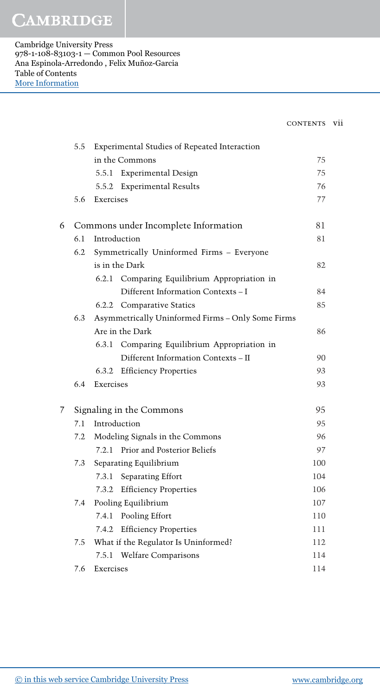Cambridge University Press 978-1-108-83103-1 — Common Pool Resources Ana Espinola-Arredondo , Felix Muñoz-Garcia Table of Contents [More Information](www.cambridge.org/9781108831031)

| CONTENTS | V11 |
|----------|-----|
|          |     |
|          |     |

|   | 5.5                      | Experimental Studies of Repeated Interaction      |     |
|---|--------------------------|---------------------------------------------------|-----|
|   |                          | in the Commons                                    | 75  |
|   |                          | 5.5.1 Experimental Design                         | 75  |
|   |                          | <b>Experimental Results</b><br>5.5.2              | 76  |
|   | 5.6                      | Exercises                                         | 77  |
| 6 |                          | Commons under Incomplete Information              | 81  |
|   | 6.1                      | Introduction                                      |     |
|   | 6.2                      | Symmetrically Uninformed Firms - Everyone         |     |
|   |                          | is in the Dark                                    |     |
|   |                          | 6.2.1<br>Comparing Equilibrium Appropriation in   |     |
|   |                          | Different Information Contexts - I                | 84  |
|   |                          | 6.2.2 Comparative Statics                         | 85  |
|   | 6.3                      | Asymmetrically Uninformed Firms - Only Some Firms |     |
|   |                          | Are in the Dark                                   | 86  |
|   |                          | 6.3.1<br>Comparing Equilibrium Appropriation in   |     |
|   |                          | Different Information Contexts - II               | 90  |
|   |                          | 6.3.2 Efficiency Properties                       | 93  |
|   | 6.4                      | Exercises                                         | 93  |
| 7 | Signaling in the Commons |                                                   | 95  |
|   | 7.1                      | Introduction                                      |     |
|   | 7.2                      | Modeling Signals in the Commons                   | 96  |
|   |                          | Prior and Posterior Beliefs<br>7.2.1              | 97  |
|   | 7.3                      | Separating Equilibrium                            | 100 |
|   |                          | Separating Effort<br>7.3.1                        | 104 |
|   |                          | <b>Efficiency Properties</b><br>7.3.2             | 106 |
|   | 7.4                      | Pooling Equilibrium                               | 107 |
|   |                          | 7.4.1 Pooling Effort                              | 110 |
|   |                          | <b>Efficiency Properties</b><br>7.4.2             | 111 |
|   | 7.5                      | What if the Regulator Is Uninformed?              | 112 |
|   |                          | <b>Welfare Comparisons</b><br>7.5.1               | 114 |
|   | 7.6                      | Exercises                                         | 114 |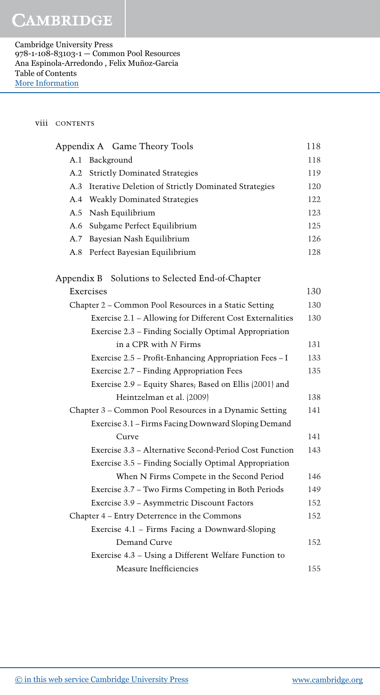Cambridge University Press 978-1-108-83103-1 — Common Pool Resources Ana Espinola-Arredondo , Felix Muñoz-Garcia Table of Contents [More Information](www.cambridge.org/9781108831031)

### viii contents

| Appendix A Game Theory Tools                               | 118 |
|------------------------------------------------------------|-----|
| Background<br>A.1                                          | 118 |
| <b>Strictly Dominated Strategies</b><br>A.2                |     |
| A.3<br>Iterative Deletion of Strictly Dominated Strategies |     |
| <b>Weakly Dominated Strategies</b><br>A.4                  | 122 |
| Nash Equilibrium<br>A.5                                    | 123 |
| Subgame Perfect Equilibrium<br>A.6                         | 125 |
| Bayesian Nash Equilibrium<br>A.7                           | 126 |
| A.8<br>Perfect Bayesian Equilibrium                        | 128 |
| Solutions to Selected End-of-Chapter<br>Appendix B         |     |
| Exercises                                                  | 130 |
| Chapter 2 - Common Pool Resources in a Static Setting      | 130 |
| Exercise 2.1 - Allowing for Different Cost Externalities   | 130 |
| Exercise 2.3 - Finding Socially Optimal Appropriation      |     |
| in a CPR with N Firms                                      | 131 |
| Exercise 2.5 - Profit-Enhancing Appropriation Fees - I     | 133 |
| Exercise 2.7 - Finding Appropriation Fees                  | 135 |
| Exercise 2.9 - Equity Shares; Based on Ellis (2001) and    |     |
| Heintzelman et al. (2009)                                  | 138 |
| Chapter 3 - Common Pool Resources in a Dynamic Setting     | 141 |
| Exercise 3.1 - Firms Facing Downward Sloping Demand        |     |
| Curve                                                      | 141 |
| Exercise 3.3 - Alternative Second-Period Cost Function     | 143 |
| Exercise 3.5 - Finding Socially Optimal Appropriation      |     |
| When N Firms Compete in the Second Period                  | 146 |
| Exercise 3.7 - Two Firms Competing in Both Periods         | 149 |
| Exercise 3.9 - Asymmetric Discount Factors                 | 152 |
| Chapter 4 - Entry Deterrence in the Commons                | 152 |
| Exercise 4.1 - Firms Facing a Downward-Sloping             |     |
| Demand Curve                                               | 152 |
| Exercise 4.3 - Using a Different Welfare Function to       |     |
| Measure Inefficiencies                                     | 155 |